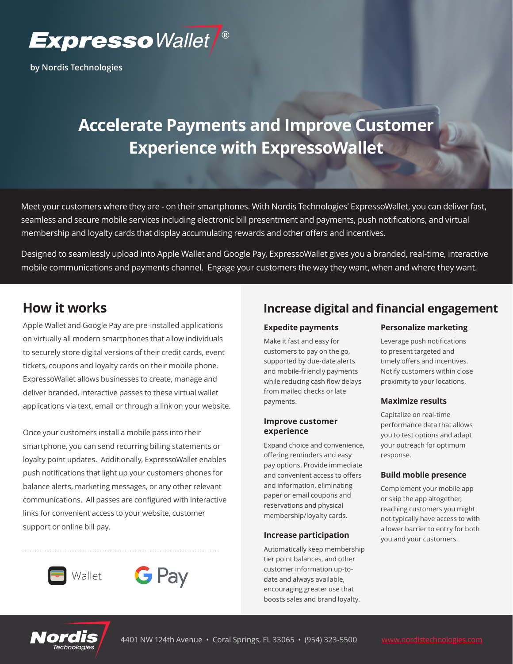

**by Nordis Technologies**

# **Accelerate Payments and Improve Customer Experience with ExpressoWallet**

Meet your customers where they are - on their smartphones. With Nordis Technologies' ExpressoWallet, you can deliver fast, seamless and secure mobile services including electronic bill presentment and payments, push notifications, and virtual membership and loyalty cards that display accumulating rewards and other offers and incentives.

Designed to seamlessly upload into Apple Wallet and Google Pay, ExpressoWallet gives you a branded, real-time, interactive mobile communications and payments channel. Engage your customers the way they want, when and where they want.

# **How it works**

Apple Wallet and Google Pay are pre-installed applications on virtually all modern smartphones that allow individuals to securely store digital versions of their credit cards, event tickets, coupons and loyalty cards on their mobile phone. ExpressoWallet allows businesses to create, manage and deliver branded, interactive passes to these virtual wallet applications via text, email or through a link on your website.

Once your customers install a mobile pass into their smartphone, you can send recurring billing statements or loyalty point updates. Additionally, ExpressoWallet enables push notifications that light up your customers phones for balance alerts, marketing messages, or any other relevant communications. All passes are configured with interactive links for convenient access to your website, customer support or online bill pay.





## **Increase digital and financial engagement**

# **Expedite payments**

Make it fast and easy for customers to pay on the go, supported by due-date alerts and mobile-friendly payments while reducing cash flow delays from mailed checks or late payments.

#### **Improve customer experience**

Expand choice and convenience, offering reminders and easy pay options. Provide immediate and convenient access to offers and information, eliminating paper or email coupons and reservations and physical membership/loyalty cards.

#### **Increase participation**

Automatically keep membership tier point balances, and other customer information up-todate and always available, encouraging greater use that boosts sales and brand loyalty.

#### **Personalize marketing**

Leverage push notifications to present targeted and timely offers and incentives. Notify customers within close proximity to your locations.

#### **Maximize results**

Capitalize on real-time performance data that allows you to test options and adapt your outreach for optimum response.

#### **Build mobile presence**

Complement your mobile app or skip the app altogether, reaching customers you might not typically have access to with a lower barrier to entry for both you and your customers.